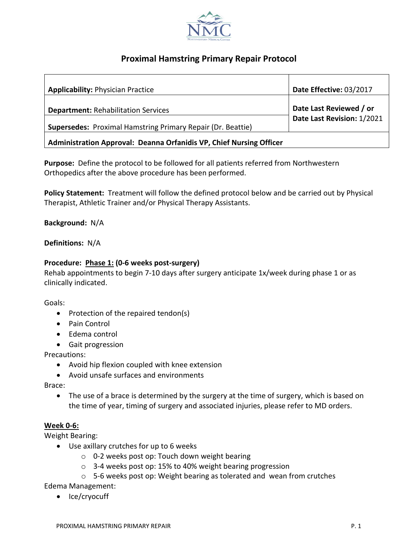

# **Proximal Hamstring Primary Repair Protocol**

| <b>Applicability: Physician Practice</b>                                                                         | Date Effective: 03/2017                               |
|------------------------------------------------------------------------------------------------------------------|-------------------------------------------------------|
| <b>Department: Rehabilitation Services</b><br><b>Supersedes:</b> Proximal Hamstring Primary Repair (Dr. Beattie) | Date Last Reviewed / or<br>Date Last Revision: 1/2021 |
| Administration Approval: Deanna Orfanidis VP, Chief Nursing Officer                                              |                                                       |

**Purpose:** Define the protocol to be followed for all patients referred from Northwestern Orthopedics after the above procedure has been performed.

**Policy Statement:** Treatment will follow the defined protocol below and be carried out by Physical Therapist, Athletic Trainer and/or Physical Therapy Assistants.

**Background:** N/A

**Definitions:** N/A

### **Procedure: Phase 1: (0-6 weeks post-surgery)**

Rehab appointments to begin 7-10 days after surgery anticipate 1x/week during phase 1 or as clinically indicated.

Goals:

- Protection of the repaired tendon(s)
- Pain Control
- Edema control
- Gait progression

Precautions:

- Avoid hip flexion coupled with knee extension
- Avoid unsafe surfaces and environments

Brace:

• The use of a brace is determined by the surgery at the time of surgery, which is based on the time of year, timing of surgery and associated injuries, please refer to MD orders.

#### **Week 0-6:**

Weight Bearing:

- Use axillary crutches for up to 6 weeks
	- o 0-2 weeks post op: Touch down weight bearing
	- o 3-4 weeks post op: 15% to 40% weight bearing progression
	- o 5-6 weeks post op: Weight bearing as tolerated and wean from crutches

Edema Management:

• Ice/cryocuff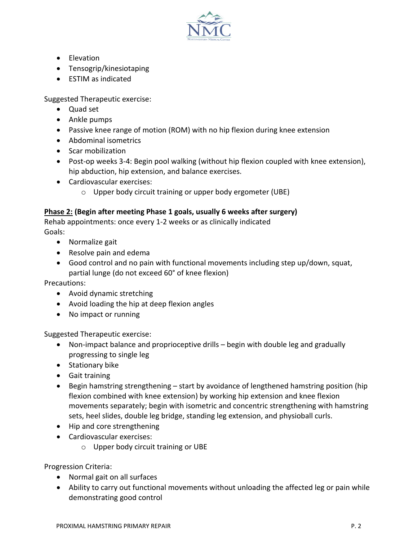

- Elevation
- Tensogrip/kinesiotaping
- ESTIM as indicated

Suggested Therapeutic exercise:

- Quad set
- Ankle pumps
- Passive knee range of motion (ROM) with no hip flexion during knee extension
- Abdominal isometrics
- Scar mobilization
- Post-op weeks 3-4: Begin pool walking (without hip flexion coupled with knee extension), hip abduction, hip extension, and balance exercises.
- Cardiovascular exercises:
	- o Upper body circuit training or upper body ergometer (UBE)

## **Phase 2: (Begin after meeting Phase 1 goals, usually 6 weeks after surgery)**

Rehab appointments: once every 1-2 weeks or as clinically indicated Goals:

- Normalize gait
- Resolve pain and edema
- Good control and no pain with functional movements including step up/down, squat, partial lunge (do not exceed 60° of knee flexion)

Precautions:

- Avoid dynamic stretching
- Avoid loading the hip at deep flexion angles
- No impact or running

Suggested Therapeutic exercise:

- Non-impact balance and proprioceptive drills begin with double leg and gradually progressing to single leg
- Stationary bike
- Gait training
- Begin hamstring strengthening start by avoidance of lengthened hamstring position (hip flexion combined with knee extension) by working hip extension and knee flexion movements separately; begin with isometric and concentric strengthening with hamstring sets, heel slides, double leg bridge, standing leg extension, and physioball curls.
- Hip and core strengthening
- Cardiovascular exercises:
	- o Upper body circuit training or UBE

Progression Criteria:

- Normal gait on all surfaces
- Ability to carry out functional movements without unloading the affected leg or pain while demonstrating good control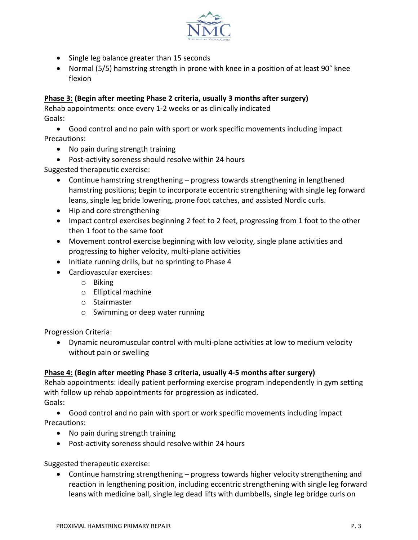

- Single leg balance greater than 15 seconds
- Normal (5/5) hamstring strength in prone with knee in a position of at least 90° knee flexion

## **Phase 3: (Begin after meeting Phase 2 criteria, usually 3 months after surgery)**

Rehab appointments: once every 1-2 weeks or as clinically indicated Goals:

• Good control and no pain with sport or work specific movements including impact Precautions:

- No pain during strength training
- Post-activity soreness should resolve within 24 hours

Suggested therapeutic exercise:

- Continue hamstring strengthening progress towards strengthening in lengthened hamstring positions; begin to incorporate eccentric strengthening with single leg forward leans, single leg bride lowering, prone foot catches, and assisted Nordic curls.
- Hip and core strengthening
- Impact control exercises beginning 2 feet to 2 feet, progressing from 1 foot to the other then 1 foot to the same foot
- Movement control exercise beginning with low velocity, single plane activities and progressing to higher velocity, multi-plane activities
- Initiate running drills, but no sprinting to Phase 4
- Cardiovascular exercises:
	- o Biking
	- o Elliptical machine
	- o Stairmaster
	- o Swimming or deep water running

Progression Criteria:

• Dynamic neuromuscular control with multi-plane activities at low to medium velocity without pain or swelling

#### **Phase 4: (Begin after meeting Phase 3 criteria, usually 4-5 months after surgery)**

Rehab appointments: ideally patient performing exercise program independently in gym setting with follow up rehab appointments for progression as indicated. Goals:

• Good control and no pain with sport or work specific movements including impact Precautions:

- No pain during strength training
- Post-activity soreness should resolve within 24 hours

Suggested therapeutic exercise:

• Continue hamstring strengthening – progress towards higher velocity strengthening and reaction in lengthening position, including eccentric strengthening with single leg forward leans with medicine ball, single leg dead lifts with dumbbells, single leg bridge curls on